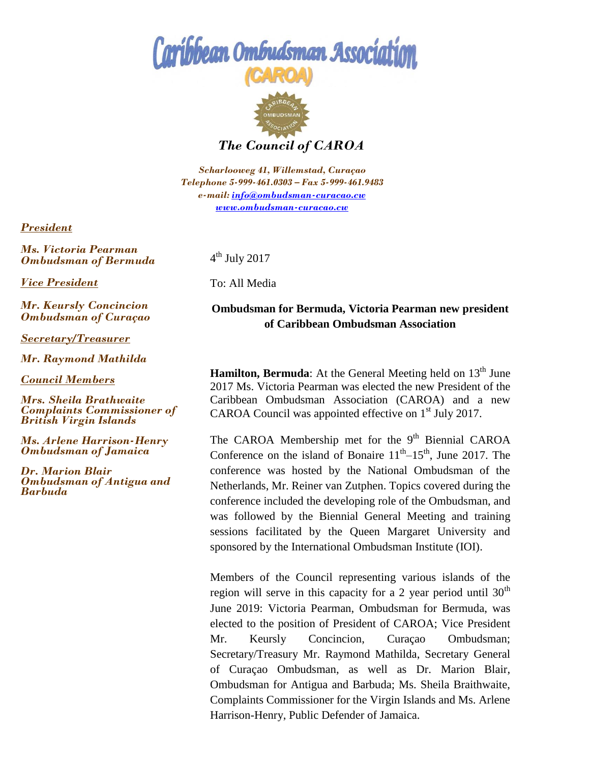## Caribbean Ombudsman Associatio



*The Council of CAROA*

*Scharlooweg 41, Willemstad, Curaçao Telephone 5-999-461.0303 – Fax 5-999-461.9483 e-mail[: info@ombudsman-curacao.cw](mailto:info@ombudsman-curacao.an)  [www.ombudsman-curacao.cw](http://www.ombudsman-curacao./)* 

*President* 

*Ms. Victoria Pearman Ombudsman of Bermuda*

*Vice President* 

*Mr. Keursly Concincion Ombudsman of Curaçao*

*Secretary/Treasurer* 

*Mr. Raymond Mathilda* 

*Council Members* 

*Mrs. Sheila Brathwaite Complaints Commissioner of British Virgin Islands* 

*Ms. Arlene Harrison-Henry Ombudsman of Jamaica*

*Dr. Marion Blair Ombudsman of Antigua and Barbuda*

 $4^{\text{th}}$  July 2017

To: All Media

## **Ombudsman for Bermuda, Victoria Pearman new president of Caribbean Ombudsman Association**

**Hamilton, Bermuda**: At the General Meeting held on 13<sup>th</sup> June 2017 Ms. Victoria Pearman was elected the new President of the Caribbean Ombudsman Association (CAROA) and a new CAROA Council was appointed effective on 1<sup>st</sup> July 2017.

The CAROA Membership met for the 9<sup>th</sup> Biennial CAROA Conference on the island of Bonaire  $11<sup>th</sup>-15<sup>th</sup>$ , June 2017. The conference was hosted by the National Ombudsman of the Netherlands, Mr. Reiner van Zutphen. Topics covered during the conference included the developing role of the Ombudsman, and was followed by the Biennial General Meeting and training sessions facilitated by the Queen Margaret University and sponsored by the International Ombudsman Institute (IOI).

Members of the Council representing various islands of the region will serve in this capacity for a 2 year period until  $30<sup>th</sup>$ June 2019: Victoria Pearman, Ombudsman for Bermuda, was elected to the position of President of CAROA; Vice President Mr. Keursly Concincion, Curaçao Ombudsman; Secretary/Treasury Mr. Raymond Mathilda, Secretary General of Curaçao Ombudsman, as well as Dr. Marion Blair, Ombudsman for Antigua and Barbuda; Ms. Sheila Braithwaite, Complaints Commissioner for the Virgin Islands and Ms. Arlene Harrison-Henry, Public Defender of Jamaica.